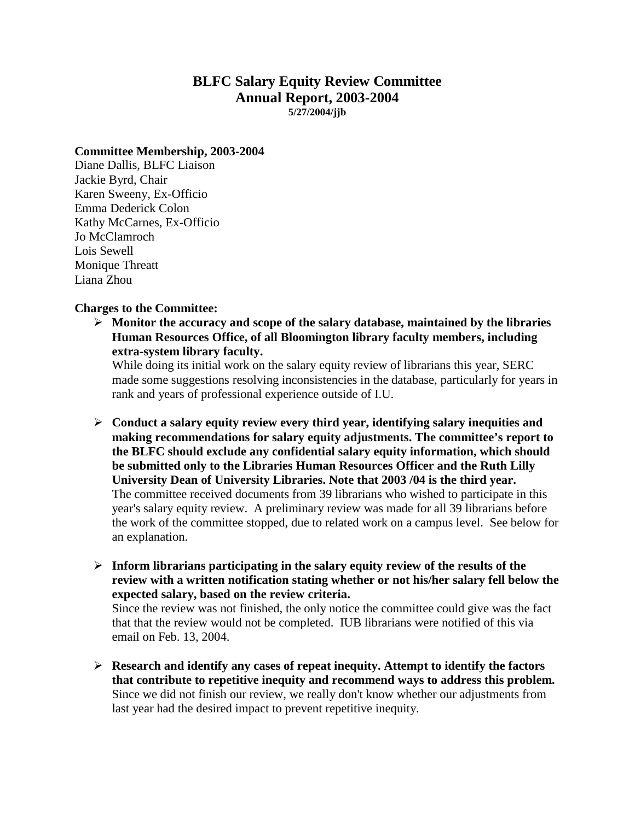## **BLFC Salary Equity Review Committee Annual Report, 2003-2004 5/27/2004/jjb**

#### **Committee Membership, 2003-2004**

Diane Dallis, BLFC Liaison Jackie Byrd, Chair Karen Sweeny, Ex-Officio Emma Dederick Colon Kathy McCarnes, Ex-Officio Jo McClamroch Lois Sewell Monique Threatt Liana Zhou

#### **Charges to the Committee:**

 **Monitor the accuracy and scope of the salary database, maintained by the libraries Human Resources Office, of all Bloomington library faculty members, including extra-system library faculty.** 

While doing its initial work on the salary equity review of librarians this year, SERC made some suggestions resolving inconsistencies in the database, particularly for years in rank and years of professional experience outside of I.U.

- **Conduct a salary equity review every third year, identifying salary inequities and making recommendations for salary equity adjustments. The committee's report to the BLFC should exclude any confidential salary equity information, which should be submitted only to the Libraries Human Resources Officer and the Ruth Lilly University Dean of University Libraries. Note that 2003 /04 is the third year.**  The committee received documents from 39 librarians who wished to participate in this year's salary equity review. A preliminary review was made for all 39 librarians before the work of the committee stopped, due to related work on a campus level. See below for an explanation.
- **Inform librarians participating in the salary equity review of the results of the review with a written notification stating whether or not his/her salary fell below the expected salary, based on the review criteria.**

Since the review was not finished, the only notice the committee could give was the fact that that the review would not be completed. IUB librarians were notified of this via email on Feb. 13, 2004.

 **Research and identify any cases of repeat inequity. Attempt to identify the factors that contribute to repetitive inequity and recommend ways to address this problem.**  Since we did not finish our review, we really don't know whether our adjustments from last year had the desired impact to prevent repetitive inequity.